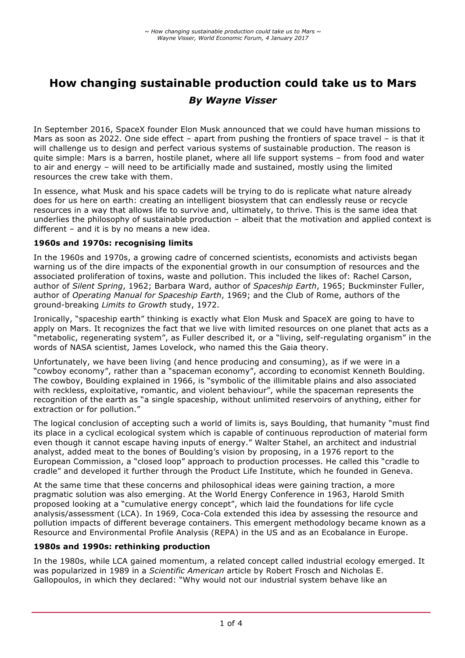# **How changing sustainable production could take us to Mars** *By Wayne Visser*

In September 2016, SpaceX founder Elon Musk announced that we could have human missions to Mars as soon as 2022. One side effect – apart from pushing the frontiers of space travel – is that it will challenge us to design and perfect various systems of sustainable production. The reason is quite simple: Mars is a barren, hostile planet, where all life support systems – from food and water to air and energy – will need to be artificially made and sustained, mostly using the limited resources the crew take with them.

In essence, what Musk and his space cadets will be trying to do is replicate what nature already does for us here on earth: creating an intelligent biosystem that can endlessly reuse or recycle resources in a way that allows life to survive and, ultimately, to thrive. This is the same idea that underlies the philosophy of sustainable production – albeit that the motivation and applied context is different – and it is by no means a new idea.

# **1960s and 1970s: recognising limits**

In the 1960s and 1970s, a growing cadre of concerned scientists, economists and activists began warning us of the dire impacts of the exponential growth in our consumption of resources and the associated proliferation of toxins, waste and pollution. This included the likes of: Rachel Carson, author of *Silent Spring*, 1962; Barbara Ward, author of *Spaceship Earth*, 1965; Buckminster Fuller, author of *Operating Manual for Spaceship Earth*, 1969; and the Club of Rome, authors of the ground-breaking *Limits to Growth* study, 1972.

Ironically, "spaceship earth" thinking is exactly what Elon Musk and SpaceX are going to have to apply on Mars. It recognizes the fact that we live with limited resources on one planet that acts as a "metabolic, regenerating system", as Fuller described it, or a "living, self-regulating organism" in the words of NASA scientist, James Lovelock, who named this the Gaia theory.

Unfortunately, we have been living (and hence producing and consuming), as if we were in a "cowboy economy", rather than a "spaceman economy", according to economist Kenneth Boulding. The cowboy, Boulding explained in 1966, is "symbolic of the illimitable plains and also associated with reckless, exploitative, romantic, and violent behaviour", while the spaceman represents the recognition of the earth as "a single spaceship, without unlimited reservoirs of anything, either for extraction or for pollution."

The logical conclusion of accepting such a world of limits is, says Boulding, that humanity "must find its place in a cyclical ecological system which is capable of continuous reproduction of material form even though it cannot escape having inputs of energy." Walter Stahel, an architect and industrial analyst, added meat to the bones of Boulding's vision by proposing, in a 1976 report to the European Commission, a "closed loop" approach to production processes. He called this "cradle to cradle" and developed it further through the Product Life Institute, which he founded in Geneva.

At the same time that these concerns and philosophical ideas were gaining traction, a more pragmatic solution was also emerging. At the World Energy Conference in 1963, Harold Smith proposed looking at a "cumulative energy concept", which laid the foundations for life cycle analysis/assessment (LCA). In 1969, Coca-Cola extended this idea by assessing the resource and pollution impacts of different beverage containers. This emergent methodology became known as a Resource and Environmental Profile Analysis (REPA) in the US and as an Ecobalance in Europe.

# **1980s and 1990s: rethinking production**

In the 1980s, while LCA gained momentum, a related concept called industrial ecology emerged. It was popularized in 1989 in a *Scientific American* article by Robert Frosch and Nicholas E. Gallopoulos, in which they declared: "Why would not our industrial system behave like an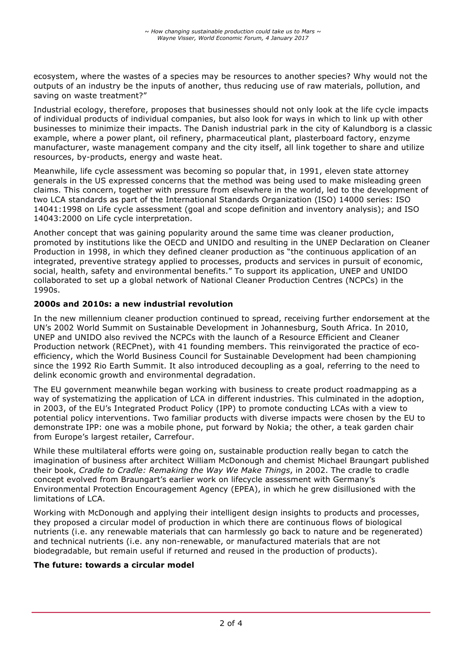ecosystem, where the wastes of a species may be resources to another species? Why would not the outputs of an industry be the inputs of another, thus reducing use of raw materials, pollution, and saving on waste treatment?"

Industrial ecology, therefore, proposes that businesses should not only look at the life cycle impacts of individual products of individual companies, but also look for ways in which to link up with other businesses to minimize their impacts. The Danish industrial park in the city of Kalundborg is a classic example, where a power plant, oil refinery, pharmaceutical plant, plasterboard factory, enzyme manufacturer, waste management company and the city itself, all link together to share and utilize resources, by-products, energy and waste heat.

Meanwhile, life cycle assessment was becoming so popular that, in 1991, eleven state attorney generals in the US expressed concerns that the method was being used to make misleading green claims. This concern, together with pressure from elsewhere in the world, led to the development of two LCA standards as part of the International Standards Organization (ISO) 14000 series: ISO 14041:1998 on Life cycle assessment (goal and scope definition and inventory analysis); and ISO 14043:2000 on Life cycle interpretation.

Another concept that was gaining popularity around the same time was cleaner production, promoted by institutions like the OECD and UNIDO and resulting in the UNEP Declaration on Cleaner Production in 1998, in which they defined cleaner production as "the continuous application of an integrated, preventive strategy applied to processes, products and services in pursuit of economic, social, health, safety and environmental benefits." To support its application, UNEP and UNIDO collaborated to set up a global network of National Cleaner Production Centres (NCPCs) in the 1990s.

# **2000s and 2010s: a new industrial revolution**

In the new millennium cleaner production continued to spread, receiving further endorsement at the UN's 2002 World Summit on Sustainable Development in Johannesburg, South Africa. In 2010, UNEP and UNIDO also revived the NCPCs with the launch of a Resource Efficient and Cleaner Production network (RECPnet), with 41 founding members. This reinvigorated the practice of ecoefficiency, which the World Business Council for Sustainable Development had been championing since the 1992 Rio Earth Summit. It also introduced decoupling as a goal, referring to the need to delink economic growth and environmental degradation.

The EU government meanwhile began working with business to create product roadmapping as a way of systematizing the application of LCA in different industries. This culminated in the adoption, in 2003, of the EU's Integrated Product Policy (IPP) to promote conducting LCAs with a view to potential policy interventions. Two familiar products with diverse impacts were chosen by the EU to demonstrate IPP: one was a mobile phone, put forward by Nokia; the other, a teak garden chair from Europe's largest retailer, Carrefour.

While these multilateral efforts were going on, sustainable production really began to catch the imagination of business after architect William McDonough and chemist Michael Braungart published their book, *Cradle to Cradle: Remaking the Way We Make Things*, in 2002. The cradle to cradle concept evolved from Braungart's earlier work on lifecycle assessment with Germany's Environmental Protection Encouragement Agency (EPEA), in which he grew disillusioned with the limitations of LCA.

Working with McDonough and applying their intelligent design insights to products and processes, they proposed a circular model of production in which there are continuous flows of biological nutrients (i.e. any renewable materials that can harmlessly go back to nature and be regenerated) and technical nutrients (i.e. any non-renewable, or manufactured materials that are not biodegradable, but remain useful if returned and reused in the production of products).

#### **The future: towards a circular model**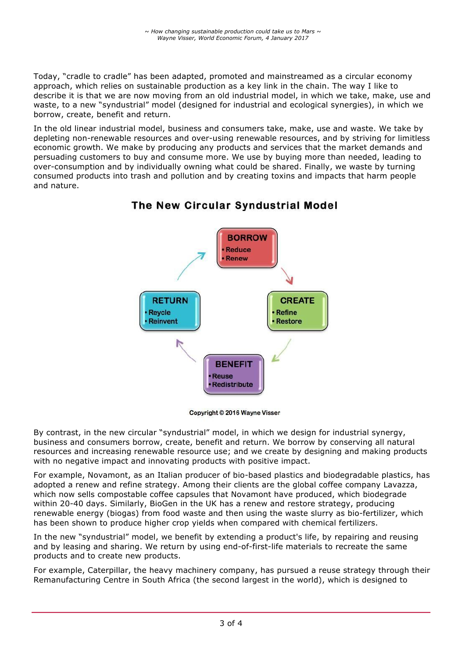Today, "cradle to cradle" has been adapted, promoted and mainstreamed as a circular economy approach, which relies on sustainable production as a key link in the chain. The way I like to describe it is that we are now moving from an old industrial model, in which we take, make, use and waste, to a new "syndustrial" model (designed for industrial and ecological synergies), in which we borrow, create, benefit and return.

In the old linear industrial model, business and consumers take, make, use and waste. We take by depleting non-renewable resources and over-using renewable resources, and by striving for limitless economic growth. We make by producing any products and services that the market demands and persuading customers to buy and consume more. We use by buying more than needed, leading to over-consumption and by individually owning what could be shared. Finally, we waste by turning consumed products into trash and pollution and by creating toxins and impacts that harm people and nature.



# The New Circular Syndustrial Model

Copyright © 2016 Wayne Visser

By contrast, in the new circular "syndustrial" model, in which we design for industrial synergy, business and consumers borrow, create, benefit and return. We borrow by conserving all natural resources and increasing renewable resource use; and we create by designing and making products with no negative impact and innovating products with positive impact.

For example, Novamont, as an Italian producer of bio-based plastics and biodegradable plastics, has adopted a renew and refine strategy. Among their clients are the global coffee company Lavazza, which now sells compostable coffee capsules that Novamont have produced, which biodegrade within 20-40 days. Similarly, BioGen in the UK has a renew and restore strategy, producing renewable energy (biogas) from food waste and then using the waste slurry as bio-fertilizer, which has been shown to produce higher crop yields when compared with chemical fertilizers.

In the new "syndustrial" model, we benefit by extending a product's life, by repairing and reusing and by leasing and sharing. We return by using end-of-first-life materials to recreate the same products and to create new products.

For example, Caterpillar, the heavy machinery company, has pursued a reuse strategy through their Remanufacturing Centre in South Africa (the second largest in the world), which is designed to